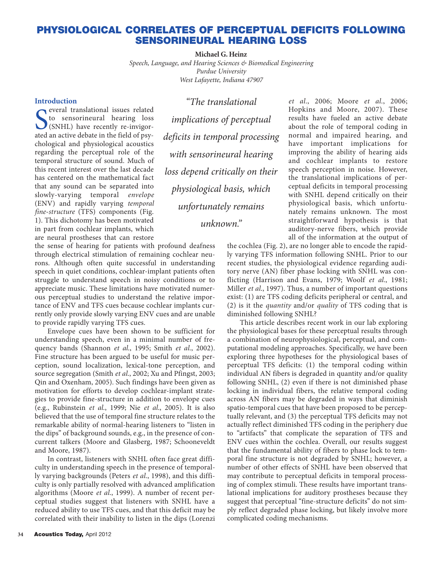# **PHYSIOLOGICAL CORRELATES OF PERCEPTUAL DEFICITS FOLLOWING SENSORINEURAL HEARING LOSS**

**Michael G. Heinz**

*Speech, Language, and Hearing Sciences & Biomedical Engineering Purdue University West Lafayette, Indiana 47907*

*"The translational*

## **Introduction**

S<br>
Several translational issues related<br>
S<br>
S (SNHL) have recently re-invigor-<br>
S<br>
S (SNHL) have recently re-invigor-<br>
S<br>
S (SNHL) have recently re-invigorto sensorineural hearing loss (SNHL) have recently re-invigorated an active debate in the field of psychological and physiological acoustics regarding the perceptual role of the temporal structure of sound. Much of this recent interest over the last decade has centered on the mathematical fact that any sound can be separated into slowly-varying temporal *envelope* (ENV) and rapidly varying *temporal fine-structure* (TFS) components (Fig. 1). This dichotomy has been motivated in part from cochlear implants, which are neural prostheses that can restore

*implications of perceptual deficits in temporal processing with sensorineural hearing loss depend critically on their physiological basis, which unfortunately remains unknown."*

the sense of hearing for patients with profound deafness through electrical stimulation of remaining cochlear neurons. Although often quite successful in understanding speech in quiet conditions, cochlear-implant patients often struggle to understand speech in noisy conditions or to appreciate music. These limitations have motivated numerous perceptual studies to understand the relative importance of ENV and TFS cues because cochlear implants currently only provide slowly varying ENV cues and are unable to provide rapidly varying TFS cues.

Envelope cues have been shown to be sufficient for understanding speech, even in a minimal number of frequency bands (Shannon *et al.*, 1995; Smith *et al.*, 2002). Fine structure has been argued to be useful for music perception, sound localization, lexical-tone perception, and source segregation (Smith *et al.*, 2002; Xu and Pfingst, 2003; Qin and Oxenham, 2005). Such findings have been given as motivation for efforts to develop cochlear-implant strategies to provide fine-structure in addition to envelope cues (e.g., Rubinstein *et al.*, 1999; Nie *et al.*, 2005). It is also believed that the use of temporal fine structure relates to the remarkable ability of normal-hearing listeners to "listen in the dips" of background sounds, e.g., in the presence of concurrent talkers (Moore and Glasberg, 1987; Schooneveldt and Moore, 1987).

In contrast, listeners with SNHL often face great difficulty in understanding speech in the presence of temporally varying backgrounds (Peters *et al.*, 1998), and this difficulty is only partially resolved with advanced amplification algorithms (Moore *et al.*, 1999). A number of recent perceptual studies suggest that listeners with SNHL have a reduced ability to use TFS cues, and that this deficit may be correlated with their inability to listen in the dips (Lorenzi

*et al.*, 2006; Moore *et al.*, 2006; Hopkins and Moore, 2007). These results have fueled an active debate about the role of temporal coding in normal and impaired hearing, and have important implications for improving the ability of hearing aids and cochlear implants to restore speech perception in noise. However, the translational implications of perceptual deficits in temporal processing with SNHL depend critically on their physiological basis, which unfortunately remains unknown. The most straightforward hypothesis is that auditory-nerve fibers, which provide all of the information at the output of

the cochlea (Fig. 2), are no longer able to encode the rapidly varying TFS information following SNHL. Prior to our recent studies, the physiological evidence regarding auditory nerve (AN) fiber phase locking with SNHL was conflicting (Harrison and Evans, 1979; Woolf *et al.*, 1981; Miller *et al.*, 1997). Thus, a number of important questions exist: (1) are TFS coding deficits peripheral or central, and (2) is it the *quantity* and/or *quality* of TFS coding that is diminished following SNHL?

This article describes recent work in our lab exploring the physiological bases for these perceptual results through a combination of neurophysiological, perceptual, and computational modeling approaches. Specifically, we have been exploring three hypotheses for the physiological bases of perceptual TFS deficits: (1) the temporal coding within individual AN fibers is degraded in quantity and/or quality following SNHL, (2) even if there is not diminished phase locking in individual fibers, the relative temporal coding across AN fibers may be degraded in ways that diminish spatio-temporal cues that have been proposed to be perceptually relevant, and (3) the perceptual TFS deficits may not actually reflect diminished TFS coding in the periphery due to "artifacts" that complicate the separation of TFS and ENV cues within the cochlea. Overall, our results suggest that the fundamental ability of fibers to phase lock to temporal fine structure is not degraded by SNHL; however, a number of other effects of SNHL have been observed that may contribute to perceptual deficits in temporal processing of complex stimuli. These results have important translational implications for auditory prostheses because they suggest that perceptual "fine-structure deficits" do not simply reflect degraded phase locking, but likely involve more complicated coding mechanisms.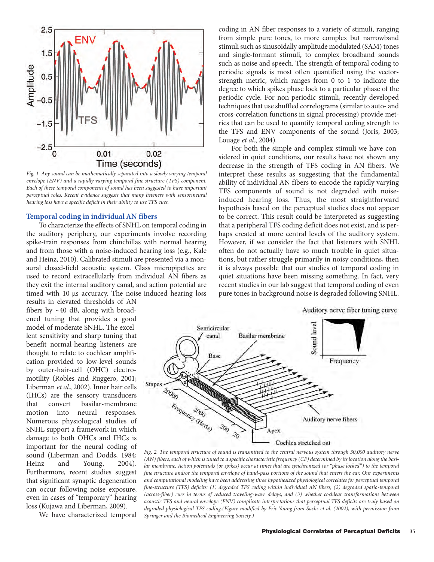

*Fig. 1. Any sound can be mathematically separated into a slowly varying temporal envelope (ENV) and a rapidly varying temporal fine structure (TFS) component. Each of these temporal components of sound has been suggested to have important perceptual roles. Recent evidence suggests that many listeners with sensorineural hearing loss have a specific deficit in their ability to use TFS cues.*

#### **Temporal coding in individual AN fibers**

To characterize the effects of SNHL on temporal coding in the auditory periphery, our experiments involve recording spike-train responses from chinchillas with normal hearing and from those with a noise-induced hearing loss (e.g., Kale and Heinz, 2010). Calibrated stimuli are presented via a monaural closed-field acoustic system. Glass micropipettes are used to record extracellularly from individual AN fibers as they exit the internal auditory canal, and action potential are timed with 10-μs accuracy. The noise-induced hearing loss

results in elevated thresholds of AN fibers by  $~10$  dB, along with broadened tuning that provides a good model of moderate SNHL. The excellent sensitivity and sharp tuning that benefit normal-hearing listeners are thought to relate to cochlear amplification provided to low-level sounds by outer-hair-cell (OHC) electromotility (Robles and Ruggero, 2001; Liberman *et al.*, 2002). Inner hair cells (IHCs) are the sensory transducers that convert basilar-membrane motion into neural responses. Numerous physiological studies of SNHL support a framework in which damage to both OHCs and IHCs is important for the neural coding of sound (Liberman and Dodds, 1984; Heinz and Young, 2004). Furthermore, recent studies suggest that significant synaptic degeneration can occur following noise exposure, even in cases of "temporary" hearing loss (Kujawa and Liberman, 2009).

We have characterized temporal

coding in AN fiber responses to a variety of stimuli, ranging from simple pure tones, to more complex but narrowband stimuli such as sinusoidally amplitude modulated (SAM) tones and single-formant stimuli, to complex broadband sounds such as noise and speech. The strength of temporal coding to periodic signals is most often quantified using the vectorstrength metric, which ranges from 0 to 1 to indicate the degree to which spikes phase lock to a particular phase of the periodic cycle. For non-periodic stimuli, recently developed techniques that use shuffled correlograms (similar to auto- and cross-correlation functions in signal processing) provide metrics that can be used to quantify temporal coding strength to the TFS and ENV components of the sound (Joris, 2003; Louage *et al.*, 2004).

For both the simple and complex stimuli we have considered in quiet conditions, our results have not shown any decrease in the strength of TFS coding in AN fibers. We interpret these results as suggesting that the fundamental ability of individual AN fibers to encode the rapidly varying TFS components of sound is not degraded with noiseinduced hearing loss. Thus, the most straightforward hypothesis based on the perceptual studies does not appear to be correct. This result could be interpreted as suggesting that a peripheral TFS coding deficit does not exist, and is perhaps created at more central levels of the auditory system. However, if we consider the fact that listeners with SNHL often do not actually have so much trouble in quiet situations, but rather struggle primarily in noisy conditions, then it is always possible that our studies of temporal coding in quiet situations have been missing something. In fact, very recent studies in our lab suggest that temporal coding of even pure tones in background noise is degraded following SNHL.

Auditory nerve fiber tuning curve



*Fig. 2. The temporal structure of sound is transmitted to the central nervous system through 30,000 auditory nerve (AN) fibers, each of which is tuned to a specific characteristic frequency (CF) determined by its location along the basilar membrane. Action potentials (or spikes) occur at times that are synchronized (or "phase locked") to the temporal fine structure and/or the temporal envelope of band-pass portions of the sound that enters the ear. Our experiments and computational modeling have been addressing three hypothesized physiological correlates for perceptual temporal fine-structure (TFS) deficits: (1) degraded TFS coding within individual AN fibers, (2) degraded spatio-temporal (across-fiber) cues in terms of reduced traveling-wave delays, and (3) whether cochlear transformations between acoustic TFS and neural envelope (ENV) complicate interpretations that perceptual TFS deficits are truly based on degraded physiological TFS coding.(Figure modified by Eric Young from Sachs et al. (2002), with permission from Springer and the Biomedical Engineering Society.)*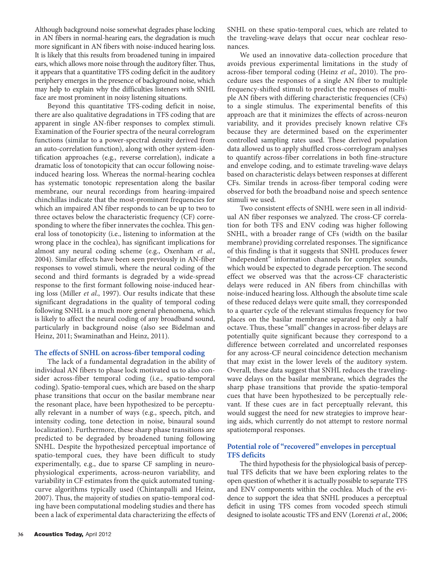Although background noise somewhat degrades phase locking in AN fibers in normal-hearing ears, the degradation is much more significant in AN fibers with noise-induced hearing loss. It is likely that this results from broadened tuning in impaired ears, which allows more noise through the auditory filter. Thus, it appears that a quantitative TFS coding deficit in the auditory periphery emerges in the presence of background noise, which may help to explain why the difficulties listeners with SNHL face are most prominent in noisy listening situations.

Beyond this quantitative TFS-coding deficit in noise, there are also qualitative degradations in TFS coding that are apparent in single AN-fiber responses to complex stimuli. Examination of the Fourier spectra of the neural correlogram functions (similar to a power-spectral density derived from an auto-correlation function), along with other system-identification approaches (e.g., reverse correlation), indicate a dramatic loss of tonotopicity that can occur following noiseinduced hearing loss. Whereas the normal-hearing cochlea has systematic tonotopic representation along the basilar membrane, our neural recordings from hearing-impaired chinchillas indicate that the most-prominent frequencies for which an impaired AN fiber responds to can be up to two to three octaves below the characteristic frequency (CF) corresponding to where the fiber innervates the cochlea. This general loss of tonotopicity (i.e., listening to information at the wrong place in the cochlea), has significant implications for almost any neural coding scheme (e.g., Oxenham *et al.*, 2004). Similar effects have been seen previously in AN-fiber responses to vowel stimuli, where the neural coding of the second and third formants is degraded by a wide-spread response to the first formant following noise-induced hearing loss (Miller *et al.*, 1997). Our results indicate that these significant degradations in the quality of temporal coding following SNHL is a much more general phenomena, which is likely to affect the neural coding of any broadband sound, particularly in background noise (also see Bidelman and Heinz, 2011; Swaminathan and Heinz, 2011).

### **The effects of SNHL on across-fiber temporal coding**

The lack of a fundamental degradation in the ability of individual AN fibers to phase lock motivated us to also consider across-fiber temporal coding (i.e., spatio-temporal coding). Spatio-temporal cues, which are based on the sharp phase transitions that occur on the basilar membrane near the resonant place, have been hypothesized to be perceptually relevant in a number of ways (e.g., speech, pitch, and intensity coding, tone detection in noise, binaural sound localization). Furthermore, these sharp phase transitions are predicted to be degraded by broadened tuning following SNHL. Despite the hypothesized perceptual importance of spatio-temporal cues, they have been difficult to study experimentally, e.g., due to sparse CF sampling in neurophysiological experiments, across-neuron variability, and variability in CF estimates from the quick automated tuningcurve algorithms typically used (Chintanpalli and Heinz, 2007). Thus, the majority of studies on spatio-temporal coding have been computational modeling studies and there has been a lack of experimental data characterizing the effects of SNHL on these spatio-temporal cues, which are related to the traveling-wave delays that occur near cochlear resonances.

We used an innovative data-collection procedure that avoids previous experimental limitations in the study of across-fiber temporal coding (Heinz *et al.*, 2010). The procedure uses the responses of a single AN fiber to multiple frequency-shifted stimuli to predict the responses of multiple AN fibers with differing characteristic frequencies (CFs) to a single stimulus. The experimental benefits of this approach are that it minimizes the effects of across-neuron variability, and it provides precisely known relative CFs because they are determined based on the experimenter controlled sampling rates used. These derived population data allowed us to apply shuffled cross-correlogram analyses to quantify across-fiber correlations in both fine-structure and envelope coding, and to estimate traveling-wave delays based on characteristic delays between responses at different CFs. Similar trends in across-fiber temporal coding were observed for both the broadband noise and speech sentence stimuli we used.

Two consistent effects of SNHL were seen in all individual AN fiber responses we analyzed. The cross-CF correlation for both TFS and ENV coding was higher following SNHL, with a broader range of CFs (width on the basilar membrane) providing correlated responses. The significance of this finding is that it suggests that SNHL produces fewer "independent" information channels for complex sounds, which would be expected to degrade perception. The second effect we observed was that the across-CF characteristic delays were reduced in AN fibers from chinchillas with noise-induced hearing loss. Although the absolute time scale of these reduced delays were quite small, they corresponded to a quarter cycle of the relevant stimulus frequency for two places on the basilar membrane separated by only a half octave. Thus, these "small" changes in across-fiber delays are potentially quite significant because they correspond to a difference between correlated and uncorrelated responses for any across-CF neural coincidence detection mechanism that may exist in the lower levels of the auditory system. Overall, these data suggest that SNHL reduces the travelingwave delays on the basilar membrane, which degrades the sharp phase transitions that provide the spatio-temporal cues that have been hypothesized to be perceptually relevant. If these cues are in fact perceptually relevant, this would suggest the need for new strategies to improve hearing aids, which currently do not attempt to restore normal spatiotemporal responses.

## **Potential role of "recovered" envelopes in perceptual TFS deficits**

The third hypothesis for the physiological basis of perceptual TFS deficits that we have been exploring relates to the open question of whether it is actually possible to separate TFS and ENV components within the cochlea. Much of the evidence to support the idea that SNHL produces a perceptual deficit in using TFS comes from vocoded speech stimuli designed to isolate acoustic TFS and ENV (Lorenzi*et al.*, 2006;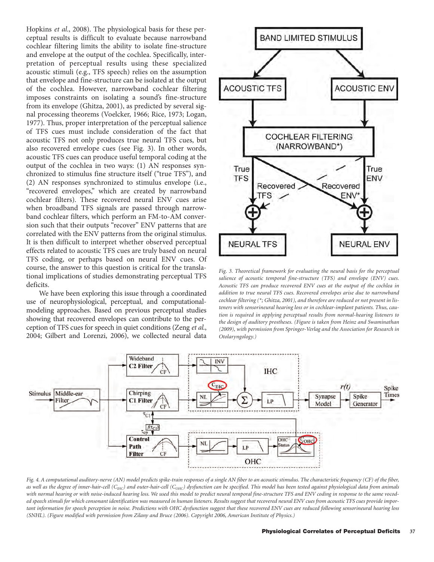Hopkins *et al.*, 2008). The physiological basis for these perceptual results is difficult to evaluate because narrowband cochlear filtering limits the ability to isolate fine-structure and envelope at the output of the cochlea. Specifically, interpretation of perceptual results using these specialized acoustic stimuli (e.g., TFS speech) relies on the assumption that envelope and fine-structure can be isolated at the output of the cochlea. However, narrowband cochlear filtering imposes constraints on isolating a sound's fine-structure from its envelope (Ghitza, 2001), as predicted by several signal processing theorems (Voelcker, 1966; Rice, 1973; Logan, 1977). Thus, proper interpretation of the perceptual salience of TFS cues must include consideration of the fact that acoustic TFS not only produces true neural TFS cues, but also recovered envelope cues (see Fig. 3). In other words, acoustic TFS cues can produce useful temporal coding at the output of the cochlea in two ways: (1) AN responses synchronized to stimulus fine structure itself ("true TFS"), and (2) AN responses synchronized to stimulus envelope (i.e., "recovered envelopes," which are created by narrowband cochlear filters). These recovered neural ENV cues arise when broadband TFS signals are passed through narrowband cochlear filters, which perform an FM-to-AM conversion such that their outputs "recover" ENV patterns that are correlated with the ENV patterns from the original stimulus. It is then difficult to interpret whether observed perceptual effects related to acoustic TFS cues are truly based on neural TFS coding, or perhaps based on neural ENV cues. Of course, the answer to this question is critical for the translational implications of studies demonstrating perceptual TFS deficits.

We have been exploring this issue through a coordinated use of neurophysiological, perceptual, and computationalmodeling approaches. Based on previous perceptual studies showing that recovered envelopes can contribute to the perception of TFS cues for speech in quiet conditions (Zeng *et al.*, 2004; Gilbert and Lorenzi, 2006), we collected neural data



*Fig. 3. Theoretical framework for evaluating the neural basis for the perceptual salience of acoustic temporal fine-structure (TFS) and envelope (ENV) cues. Acoustic TFS can produce recovered ENV cues at the output of the cochlea in addition to true neural TFS cues. Recovered envelopes arise due to narrowband cochlear filtering (\*; Ghitza, 2001), and therefore are reduced or not present in listeners with sensorineural hearing loss or in cochlear-implant patients. Thus, caution is required in applying perceptual results from normal-hearing listeners to the design of auditory prostheses. (Figure is taken from Heinz and Swaminathan (2009), with permission from Springer-Verlag and the Association for Research in Otolaryngology.)*



*Fig. 4. A computational auditory-nerve (AN) model predicts spike-train responses of a single AN fiber to an acoustic stimulus. The characteristic frequency (CF) of the fiber, as well as the degree of inner-hair-cell (C<sub>IHC</sub>) and outer-hair-cell (C<sub>OHC</sub>) dysfunction can be specified. This model has been tested against physiological data from animals with normal hearing or with noise-induced hearing loss. We used this model to predict neural temporal fine-structure TFS and ENV coding in response to the same vocoded speech stimuli for which consonant identification was measured in human listeners. Results suggest that recovered neural ENV cues from acoustic TFS cues provide important information for speech perception in noise. Predictions with OHC dysfunction suggest that these recovered ENV cues are reduced following sensorineural hearing loss (SNHL). (Figure modified with permission from Zilany and Bruce (2006). Copyright 2006, American Institute of Physics.)*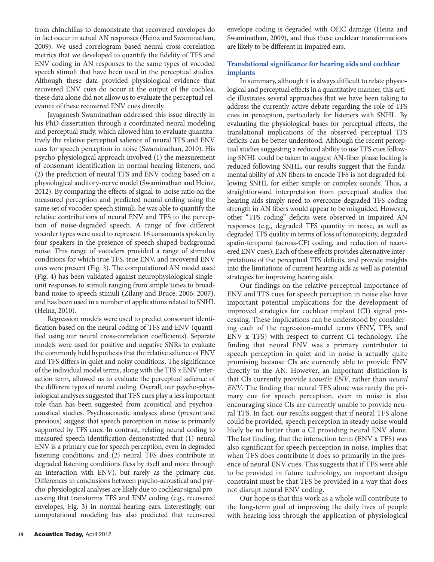from chinchillas to demonstrate that recovered envelopes do in fact occur in actual AN responses (Heinz and Swaminathan, 2009). We used correlogram based neural cross-correlation metrics that we developed to quantify the fidelity of TFS and ENV coding in AN responses to the same types of vocoded speech stimuli that have been used in the perceptual studies. Although these data provided physiological evidence that recovered ENV cues do occur at the output of the cochlea, these data alone did not allow us to evaluate the perceptual relevance of these recovered ENV cues directly.

Jayaganesh Swaminathan addressed this issue directly in his PhD dissertation through a coordinated neural modeling and perceptual study, which allowed him to evaluate quantitatively the relative perceptual salience of neural TFS and ENV cues for speech perception in noise (Swaminathan, 2010). His psycho-physiological approach involved (1) the measurement of consonant identification in normal-hearing listeners, and (2) the prediction of neural TFS and ENV coding based on a physiological auditory-nerve model (Swaminathan and Heinz, 2012). By comparing the effects of signal-to-noise ratio on the measured perception and predicted neural coding using the same set of vocoder speech stimuli, he was able to quantify the relative contributions of neural ENV and TFS to the perception of noise-degraded speech. A range of five different vocoder types were used to represent 16 consonants spoken by four speakers in the presence of speech-shaped background noise. This range of vocoders provided a range of stimulus conditions for which true TFS, true ENV, and recovered ENV cues were present (Fig. 3). The computational AN model used (Fig. 4) has been validated against neurophysiological singleunit responses to stimuli ranging from simple tones to broadband noise to speech stimuli (Zilany and Bruce, 2006; 2007), and has been used in a number of applications related to SNHL (Heinz, 2010).

Regression models were used to predict consonant identification based on the neural coding of TFS and ENV (quantified using our neural cross-correlation coefficients). Separate models were used for positive and negative SNRs to evaluate the commonly held hypothesis that the relative salience of ENV and TFS differs in quiet and noisy conditions. The significance of the individual model terms, along with the TFS x ENV interaction term, allowed us to evaluate the perceptual salience of the different types of neural coding. Overall, our psycho-physiological analyses suggested that TFS cues play a less important role than has been suggested from acoustical and psychoacoustical studies. Psychoacoustic analyses alone (present and previous) suggest that speech perception in noise is primarily supported by TFS cues. In contrast, relating neural coding to measured speech identification demonstrated that (1) neural ENV is a primary cue for speech perception, even in degraded listening conditions, and (2) neural TFS does contribute in degraded listening conditions (less by itself and more through an interaction with ENV), but rarely as the primary cue. Differences in conclusions between psycho-acoustical and psycho-physiological analyses are likely due to cochlear signal processing that transforms TFS and ENV coding (e.g., recovered envelopes, Fig. 3) in normal-hearing ears. Interestingly, our computational modeling has also predicted that recovered

envelope coding is degraded with OHC damage (Heinz and Swaminathan, 2009), and thus these cochlear transformations are likely to be different in impaired ears.

# **Translational significance for hearing aids and cochlear implants**

In summary, although it is always difficult to relate physiological and perceptual effects in a quantitative manner, this article illustrates several approaches that we have been taking to address the currently active debate regarding the role of TFS cues in perception, particularly for listeners with SNHL. By evaluating the physiological bases for perceptual effects, the translational implications of the observed perceptual TFS deficits can be better understood. Although the recent perceptual studies suggesting a reduced ability to use TFS cues following SNHL could be taken to suggest AN-fiber phase locking is reduced following SNHL, our results suggest that the fundamental ability of AN fibers to encode TFS is not degraded following SNHL for either simple or complex sounds. Thus, a straightforward interpretation from perceptual studies that hearing aids simply need to overcome degraded TFS coding strength in AN fibers would appear to be misguided. However, other "TFS coding" deficits were observed in impaired AN responses (e.g., degraded TFS quantity in noise, as well as degraded TFS quality in terms of loss of tonotopicity, degraded spatio-temporal (across-CF) coding, and reduction of recovered ENV cues). Each of these effects provides alternative interpretations of the perceptual TFS deficits, and provide insights into the limitations of current hearing aids as well as potential strategies for improving hearing aids.

Our findings on the relative perceptual importance of ENV and TFS cues for speech perception in noise also have important potential implications for the development of improved strategies for cochlear implant (CI) signal processing. These implications can be understood by considering each of the regression-model terms (ENV, TFS, and ENV x TFS) with respect to current CI technology. The finding that neural ENV was a primary contributor to speech perception in quiet and in noise is actually quite promising because CIs are currently able to provide ENV directly to the AN. However, an important distinction is that CIs currently provide a*coustic ENV*, rather than *neural ENV*. The finding that neural TFS alone was rarely the primary cue for speech perception, even in noise is also encouraging since CIs are currently unable to provide neural TFS. In fact, our results suggest that if neural TFS alone could be provided, speech perception in steady noise would likely be no better than a CI providing neural ENV alone. The last finding, that the interaction term (ENV x TFS) was also significant for speech perception in noise, implies that when TFS does contribute it does so primarily in the presence of neural ENV cues. This suggests that if TFS were able to be provided in future technology, an important design constraint must be that TFS be provided in a way that does not disrupt neural ENV coding.

Our hope is that this work as a whole will contribute to the long-term goal of improving the daily lives of people with hearing loss through the application of physiological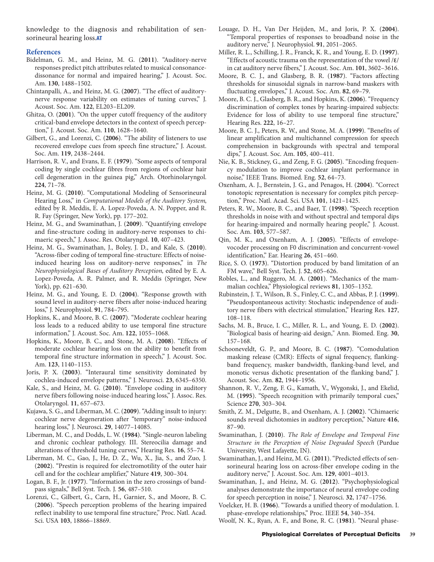knowledge to the diagnosis and rehabilitation of sensorineural hearing loss.**AT**

#### **References**

- Bidelman, G. M., and Heinz, M. G. (**2011**). "Auditory-nerve responses predict pitch attributes related to musical consonancedissonance for normal and impaired hearing," J. Acoust. Soc. Am. **130**, 1488–1502.
- Chintanpalli, A., and Heinz, M. G. (**2007**). "The effect of auditorynerve response variability on estimates of tuning curves," J. Acoust. Soc. Am. **122**, EL203–EL209.
- Ghitza, O. (**2001**). "On the upper cutoff frequency of the auditory critical-band envelope detectors in the context of speech perception," J. Acoust. Soc. Am. **110**, 1628–1640.
- Gilbert, G., and Lorenzi, C. (**2006**). "The ability of listeners to use recovered envelope cues from speech fine structure," J. Acoust. Soc. Am. **119**, 2438–2444.
- Harrison, R. V., and Evans, E. F. (**1979**). "Some aspects of temporal coding by single cochlear fibres from regions of cochlear hair cell degeneration in the guinea pig," Arch. Otorhinolaryngol. **224**, 71–78.
- Heinz, M. G. (**2010**). "Computational Modeling of Sensorineural Hearing Loss," in *Computational Models of the Auditory System*, edited by R. Meddis, E. A. Lopez-Poveda, A. N. Popper, and R. R. Fay (Springer, New York), pp. 177–202.
- Heinz, M. G., and Swaminathan, J. (**2009**). "Quantifying envelope and fine-structure coding in auditory-nerve responses to chimaeric speech," J. Assoc. Res. Otolaryngol. **10**, 407–423.
- Heinz, M. G., Swaminathan, J., Boley, J. D., and Kale, S. (**2010**). "Across-fiber coding of temporal fine-structure: Effects of noiseinduced hearing loss on auditory-nerve responses," in *The Neurophysiological Bases of Auditory Perception*, edited by E. A. Lopez-Poveda, A. R. Palmer, and R. Meddis (Springer, New York), pp. 621–630.
- Heinz, M. G., and Young, E. D. (**2004**). "Response growth with sound level in auditory-nerve fibers after noise-induced hearing loss," J. Neurophysiol. **91**, 784–795.
- Hopkins, K., and Moore, B. C. (**2007**). "Moderate cochlear hearing loss leads to a reduced ability to use temporal fine structure information," J. Acoust. Soc. Am. **122**, 1055–1068.
- Hopkins, K., Moore, B. C., and Stone, M. A. (**2008**). "Effects of moderate cochlear hearing loss on the ability to benefit from temporal fine structure information in speech," J. Acoust. Soc. Am. **123**, 1140–1153.
- Joris, P. X. (**2003**). "Interaural time sensitivity dominated by cochlea-induced envelope patterns," J. Neurosci. **23**, 6345–6350.
- Kale, S., and Heinz, M. G. (**2010**). "Envelope coding in auditory nerve fibers following noise-induced hearing loss," J. Assoc. Res. Otolaryngol. **11**, 657–673.
- Kujawa, S. G., and Liberman, M. C. (**2009**). "Adding insult to injury: cochlear nerve degeneration after "temporary" noise-induced hearing loss," J. Neurosci. **29**, 14077–14085.
- Liberman, M. C., and Dodds, L. W. (**1984**). "Single-neuron labeling and chronic cochlear pathology. III. Stereocilia damage and alterations of threshold tuning curves," Hearing Res. **16**, 55–74.
- Liberman, M. C., Gao, J., He, D. Z., Wu, X., Jia, S., and Zuo, J. (**2002**). "Prestin is required for electromotility of the outer hair cell and for the cochlear amplifier," Nature **419**, 300–304.
- Logan, B. F., Jr. (**1977**). "Information in the zero crossings of bandpass signals," Bell Syst. Tech. J. **56**, 487–510.
- Lorenzi, C., Gilbert, G., Carn, H., Garnier, S., and Moore, B. C. (**2006**). "Speech perception problems of the hearing impaired reflect inability to use temporal fine structure," Proc. Natl. Acad. Sci. USA **103**, 18866–18869.
- Louage, D. H., Van Der Heijden, M., and Joris, P. X. (**2004**). "Temporal properties of responses to broadband noise in the auditory nerve," J. Neurophysiol. **91**, 2051–2065.
- Miller, R. L., Schilling, J. R., Franck, K. R., and Young, E. D. (**1997**). "Effects of acoustic trauma on the representation of the vowel /ε/ in cat auditory nerve fibers," J. Acoust. Soc. Am. **101**, 3602–3616.
- Moore, B. C. J., and Glasberg, B. R. (**1987**). "Factors affecting thresholds for sinusoidal signals in narrow-band maskers with fluctuating envelopes," J. Acoust. Soc. Am. **82**, 69–79.
- Moore, B. C. J., Glasberg, B. R., and Hopkins, K. (**2006**). "Frequency discrimination of complex tones by hearing-impaired subjects: Evidence for loss of ability to use temporal fine structure," Hearing Res. **222**, 16–27.
- Moore, B. C. J., Peters, R. W., and Stone, M. A. (**1999**). "Benefits of linear amplification and multichannel compression for speech comprehension in backgrounds with spectral and temporal dips," J. Acoust. Soc. Am. **105**, 400–411.
- Nie, K. B., Stickney, G., and Zeng, F. G. (**2005**). "Encoding frequency modulation to improve cochlear implant performance in noise," IEEE Trans. Biomed. Eng. **52**, 64–73.
- Oxenham, A. J., Bernstein, J. G., and Penagos, H. (**2004**). "Correct tonotopic representation is necessary for complex pitch perception," Proc. Natl. Acad. Sci. USA **101**, 1421–1425.
- Peters, R. W., Moore, B. C., and Baer, T. (**1998**). "Speech reception thresholds in noise with and without spectral and temporal dips for hearing-impaired and normally hearing people," J. Acoust. Soc. Am. **103**, 577–587.
- Qin, M. K., and Oxenham, A. J. (**2005**). "Effects of envelopevocoder processing on F0 discrimination and concurrent-vowel identification," Ear. Hearing **26**, 451–460.
- Rice, S. O. (**1973**). "Distortion produced by band limitation of an FM wave," Bell Syst. Tech. J. **52**, 605–626.
- Robles, L., and Ruggero, M. A. (**2001**). "Mechanics of the mammalian cochlea," Physiological reviews **81**, 1305–1352.
- Rubinstein, J. T., Wilson, B. S., Finley, C. C., and Abbas, P. J. (**1999**). "Pseudospontaneous activity: Stochastic independence of auditory nerve fibers with electrical stimulation," Hearing Res. **127**, 108–118.
- Sachs, M. B., Bruce, I. C., Miller, R. L., and Young, E. D. (**2002**). "Biological basis of hearing-aid design," Ann. Biomed. Eng. **30**, 157–168.
- Schooneveldt, G. P., and Moore, B. C. (**1987**). "Comodulation masking release (CMR): Effects of signal frequency, flankingband frequency, masker bandwidth, flanking-band level, and monotic versus dichotic presentation of the flanking band," J. Acoust. Soc. Am. **82**, 1944–1956.
- Shannon, R. V., Zeng, F. G., Kamath, V., Wygonski, J., and Ekelid, M. (**1995**). "Speech recognition with primarily temporal cues," Science **270**, 303–304.
- Smith, Z. M., Delgutte, B., and Oxenham, A. J. (**2002**). "Chimaeric sounds reveal dichotomies in auditory perception," Nature **416**, 87–90.
- Swaminathan, J. (**2010**). *The Role of Envelope and Temporal Fine Structure in the Perception of Noise Degraded Speech* (Purdue University, West Lafayette, IN).
- Swaminathan, J., and Heinz, M. G. (**2011**). "Predicted effects of sensorineural hearing loss on across-fiber envelope coding in the auditory nerve," J. Acoust. Soc. Am. **129**, 4001–4013.
- Swaminathan, J., and Heinz, M. G. (**2012**). "Psychophysiological analyses demonstrate the importance of neural envelope coding for speech perception in noise," J. Neurosci. **32**, 1747–1756.
- Voelcker, H. B. (**1966**). "Towards a unified theory of modulation. I. phase-envelope relationships," Proc. IEEE **54**, 340–354.
- Woolf, N. K., Ryan, A. F., and Bone, R. C. (**1981**). "Neural phase-